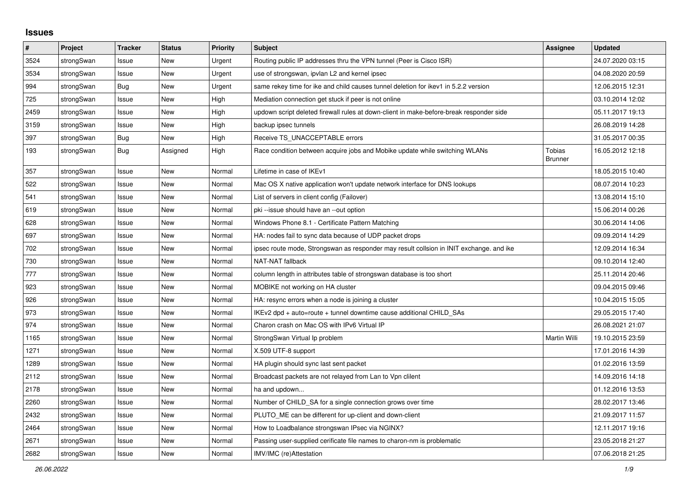## **Issues**

| #    | Project    | <b>Tracker</b> | <b>Status</b> | Priority | <b>Subject</b>                                                                          | Assignee                 | <b>Updated</b>   |
|------|------------|----------------|---------------|----------|-----------------------------------------------------------------------------------------|--------------------------|------------------|
| 3524 | strongSwan | Issue          | <b>New</b>    | Urgent   | Routing public IP addresses thru the VPN tunnel (Peer is Cisco ISR)                     |                          | 24.07.2020 03:15 |
| 3534 | strongSwan | Issue          | <b>New</b>    | Urgent   | use of strongswan, ipvlan L2 and kernel ipsec                                           |                          | 04.08.2020 20:59 |
| 994  | strongSwan | Bug            | <b>New</b>    | Urgent   | same rekey time for ike and child causes tunnel deletion for ikev1 in 5.2.2 version     |                          | 12.06.2015 12:31 |
| 725  | strongSwan | Issue          | New           | High     | Mediation connection get stuck if peer is not online                                    |                          | 03.10.2014 12:02 |
| 2459 | strongSwan | Issue          | <b>New</b>    | High     | updown script deleted firewall rules at down-client in make-before-break responder side |                          | 05.11.2017 19:13 |
| 3159 | strongSwan | Issue          | <b>New</b>    | High     | backup ipsec tunnels                                                                    |                          | 26.08.2019 14:28 |
| 397  | strongSwan | Bug            | New           | High     | Receive TS UNACCEPTABLE errors                                                          |                          | 31.05.2017 00:35 |
| 193  | strongSwan | Bug            | Assigned      | High     | Race condition between acquire jobs and Mobike update while switching WLANs             | Tobias<br><b>Brunner</b> | 16.05.2012 12:18 |
| 357  | strongSwan | Issue          | New           | Normal   | Lifetime in case of IKEv1                                                               |                          | 18.05.2015 10:40 |
| 522  | strongSwan | Issue          | <b>New</b>    | Normal   | Mac OS X native application won't update network interface for DNS lookups              |                          | 08.07.2014 10:23 |
| 541  | strongSwan | Issue          | <b>New</b>    | Normal   | List of servers in client config (Failover)                                             |                          | 13.08.2014 15:10 |
| 619  | strongSwan | Issue          | <b>New</b>    | Normal   | pki --issue should have an --out option                                                 |                          | 15.06.2014 00:26 |
| 628  | strongSwan | Issue          | New           | Normal   | Windows Phone 8.1 - Certificate Pattern Matching                                        |                          | 30.06.2014 14:06 |
| 697  | strongSwan | Issue          | New           | Normal   | HA: nodes fail to sync data because of UDP packet drops                                 |                          | 09.09.2014 14:29 |
| 702  | strongSwan | Issue          | New           | Normal   | ipsec route mode, Strongswan as responder may result collsion in INIT exchange. and ike |                          | 12.09.2014 16:34 |
| 730  | strongSwan | Issue          | New           | Normal   | NAT-NAT fallback                                                                        |                          | 09.10.2014 12:40 |
| 777  | strongSwan | Issue          | <b>New</b>    | Normal   | column length in attributes table of strongswan database is too short                   |                          | 25.11.2014 20:46 |
| 923  | strongSwan | Issue          | <b>New</b>    | Normal   | MOBIKE not working on HA cluster                                                        |                          | 09.04.2015 09:46 |
| 926  | strongSwan | Issue          | New           | Normal   | HA: resync errors when a node is joining a cluster                                      |                          | 10.04.2015 15:05 |
| 973  | strongSwan | Issue          | New           | Normal   | IKEv2 dpd + auto=route + tunnel downtime cause additional CHILD SAs                     |                          | 29.05.2015 17:40 |
| 974  | strongSwan | Issue          | <b>New</b>    | Normal   | Charon crash on Mac OS with IPv6 Virtual IP                                             |                          | 26.08.2021 21:07 |
| 1165 | strongSwan | Issue          | <b>New</b>    | Normal   | StrongSwan Virtual Ip problem                                                           | Martin Willi             | 19.10.2015 23:59 |
| 1271 | strongSwan | Issue          | <b>New</b>    | Normal   | X.509 UTF-8 support                                                                     |                          | 17.01.2016 14:39 |
| 1289 | strongSwan | Issue          | <b>New</b>    | Normal   | HA plugin should sync last sent packet                                                  |                          | 01.02.2016 13:59 |
| 2112 | strongSwan | Issue          | New           | Normal   | Broadcast packets are not relayed from Lan to Vpn clilent                               |                          | 14.09.2016 14:18 |
| 2178 | strongSwan | Issue          | New           | Normal   | ha and updown                                                                           |                          | 01.12.2016 13:53 |
| 2260 | strongSwan | Issue          | <b>New</b>    | Normal   | Number of CHILD_SA for a single connection grows over time                              |                          | 28.02.2017 13:46 |
| 2432 | strongSwan | Issue          | New           | Normal   | PLUTO ME can be different for up-client and down-client                                 |                          | 21.09.2017 11:57 |
| 2464 | strongSwan | Issue          | New           | Normal   | How to Loadbalance strongswan IPsec via NGINX?                                          |                          | 12.11.2017 19:16 |
| 2671 | strongSwan | Issue          | New           | Normal   | Passing user-supplied cerificate file names to charon-nm is problematic                 |                          | 23.05.2018 21:27 |
| 2682 | strongSwan | Issue          | New           | Normal   | IMV/IMC (re)Attestation                                                                 |                          | 07.06.2018 21:25 |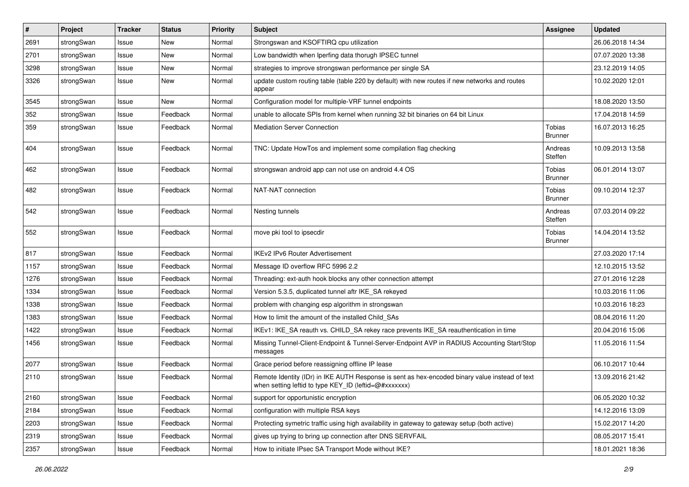| $\vert$ # | Project    | <b>Tracker</b> | <b>Status</b> | <b>Priority</b> | Subject                                                                                                                                                 | <b>Assignee</b>                 | <b>Updated</b>   |
|-----------|------------|----------------|---------------|-----------------|---------------------------------------------------------------------------------------------------------------------------------------------------------|---------------------------------|------------------|
| 2691      | strongSwan | Issue          | New           | Normal          | Strongswan and KSOFTIRQ cpu utilization                                                                                                                 |                                 | 26.06.2018 14:34 |
| 2701      | strongSwan | Issue          | <b>New</b>    | Normal          | Low bandwidth when Iperfing data thorugh IPSEC tunnel                                                                                                   |                                 | 07.07.2020 13:38 |
| 3298      | strongSwan | Issue          | New           | Normal          | strategies to improve strongswan performance per single SA                                                                                              |                                 | 23.12.2019 14:05 |
| 3326      | strongSwan | Issue          | New           | Normal          | update custom routing table (table 220 by default) with new routes if new networks and routes<br>appear                                                 |                                 | 10.02.2020 12:01 |
| 3545      | strongSwan | Issue          | <b>New</b>    | Normal          | Configuration model for multiple-VRF tunnel endpoints                                                                                                   |                                 | 18.08.2020 13:50 |
| 352       | strongSwan | Issue          | Feedback      | Normal          | unable to allocate SPIs from kernel when running 32 bit binaries on 64 bit Linux                                                                        |                                 | 17.04.2018 14:59 |
| 359       | strongSwan | Issue          | Feedback      | Normal          | <b>Mediation Server Connection</b>                                                                                                                      | <b>Tobias</b><br><b>Brunner</b> | 16.07.2013 16:25 |
| 404       | strongSwan | Issue          | Feedback      | Normal          | TNC: Update HowTos and implement some compilation flag checking                                                                                         | Andreas<br>Steffen              | 10.09.2013 13:58 |
| 462       | strongSwan | Issue          | Feedback      | Normal          | strongswan android app can not use on android 4.4 OS                                                                                                    | Tobias<br><b>Brunner</b>        | 06.01.2014 13:07 |
| 482       | strongSwan | Issue          | Feedback      | Normal          | NAT-NAT connection                                                                                                                                      | Tobias<br><b>Brunner</b>        | 09.10.2014 12:37 |
| 542       | strongSwan | Issue          | Feedback      | Normal          | Nesting tunnels                                                                                                                                         | Andreas<br>Steffen              | 07.03.2014 09:22 |
| 552       | strongSwan | Issue          | Feedback      | Normal          | move pki tool to ipsecdir                                                                                                                               | Tobias<br><b>Brunner</b>        | 14.04.2014 13:52 |
| 817       | strongSwan | Issue          | Feedback      | Normal          | IKEv2 IPv6 Router Advertisement                                                                                                                         |                                 | 27.03.2020 17:14 |
| 1157      | strongSwan | Issue          | Feedback      | Normal          | Message ID overflow RFC 5996 2.2                                                                                                                        |                                 | 12.10.2015 13:52 |
| 1276      | strongSwan | Issue          | Feedback      | Normal          | Threading: ext-auth hook blocks any other connection attempt                                                                                            |                                 | 27.01.2016 12:28 |
| 1334      | strongSwan | Issue          | Feedback      | Normal          | Version 5.3.5, duplicated tunnel aftr IKE_SA rekeyed                                                                                                    |                                 | 10.03.2016 11:06 |
| 1338      | strongSwan | Issue          | Feedback      | Normal          | problem with changing esp algorithm in strongswan                                                                                                       |                                 | 10.03.2016 18:23 |
| 1383      | strongSwan | Issue          | Feedback      | Normal          | How to limit the amount of the installed Child_SAs                                                                                                      |                                 | 08.04.2016 11:20 |
| 1422      | strongSwan | Issue          | Feedback      | Normal          | IKEv1: IKE_SA reauth vs. CHILD_SA rekey race prevents IKE_SA reauthentication in time                                                                   |                                 | 20.04.2016 15:06 |
| 1456      | strongSwan | Issue          | Feedback      | Normal          | Missing Tunnel-Client-Endpoint & Tunnel-Server-Endpoint AVP in RADIUS Accounting Start/Stop<br>messages                                                 |                                 | 11.05.2016 11:54 |
| 2077      | strongSwan | Issue          | Feedback      | Normal          | Grace period before reassigning offline IP lease                                                                                                        |                                 | 06.10.2017 10:44 |
| 2110      | strongSwan | Issue          | Feedback      | Normal          | Remote Identity (IDr) in IKE AUTH Response is sent as hex-encoded binary value instead of text<br>when setting leftid to type KEY_ID (leftid=@#xxxxxxx) |                                 | 13.09.2016 21:42 |
| 2160      | strongSwan | Issue          | Feedback      | Normal          | support for opportunistic encryption                                                                                                                    |                                 | 06.05.2020 10:32 |
| 2184      | strongSwan | Issue          | Feedback      | Normal          | configuration with multiple RSA keys                                                                                                                    |                                 | 14.12.2016 13:09 |
| 2203      | strongSwan | Issue          | Feedback      | Normal          | Protecting symetric traffic using high availability in gateway to gateway setup (both active)                                                           |                                 | 15.02.2017 14:20 |
| 2319      | strongSwan | Issue          | Feedback      | Normal          | gives up trying to bring up connection after DNS SERVFAIL                                                                                               |                                 | 08.05.2017 15:41 |
| 2357      | strongSwan | Issue          | Feedback      | Normal          | How to initiate IPsec SA Transport Mode without IKE?                                                                                                    |                                 | 18.01.2021 18:36 |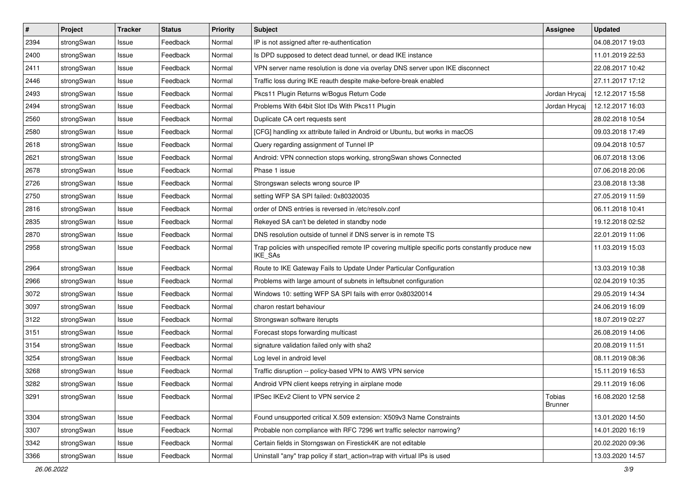| #    | Project    | <b>Tracker</b> | <b>Status</b> | <b>Priority</b> | <b>Subject</b>                                                                                              | Assignee                 | <b>Updated</b>   |
|------|------------|----------------|---------------|-----------------|-------------------------------------------------------------------------------------------------------------|--------------------------|------------------|
| 2394 | strongSwan | Issue          | Feedback      | Normal          | IP is not assigned after re-authentication                                                                  |                          | 04.08.2017 19:03 |
| 2400 | strongSwan | Issue          | Feedback      | Normal          | Is DPD supposed to detect dead tunnel, or dead IKE instance                                                 |                          | 11.01.2019 22:53 |
| 2411 | strongSwan | Issue          | Feedback      | Normal          | VPN server name resolution is done via overlay DNS server upon IKE disconnect                               |                          | 22.08.2017 10:42 |
| 2446 | strongSwan | Issue          | Feedback      | Normal          | Traffic loss during IKE reauth despite make-before-break enabled                                            |                          | 27.11.2017 17:12 |
| 2493 | strongSwan | Issue          | Feedback      | Normal          | Pkcs11 Plugin Returns w/Bogus Return Code                                                                   | Jordan Hrycaj            | 12.12.2017 15:58 |
| 2494 | strongSwan | Issue          | Feedback      | Normal          | Problems With 64bit Slot IDs With Pkcs11 Plugin                                                             | Jordan Hrycai            | 12.12.2017 16:03 |
| 2560 | strongSwan | Issue          | Feedback      | Normal          | Duplicate CA cert requests sent                                                                             |                          | 28.02.2018 10:54 |
| 2580 | strongSwan | Issue          | Feedback      | Normal          | [CFG] handling xx attribute failed in Android or Ubuntu, but works in macOS                                 |                          | 09.03.2018 17:49 |
| 2618 | strongSwan | Issue          | Feedback      | Normal          | Query regarding assignment of Tunnel IP                                                                     |                          | 09.04.2018 10:57 |
| 2621 | strongSwan | Issue          | Feedback      | Normal          | Android: VPN connection stops working, strongSwan shows Connected                                           |                          | 06.07.2018 13:06 |
| 2678 | strongSwan | Issue          | Feedback      | Normal          | Phase 1 issue                                                                                               |                          | 07.06.2018 20:06 |
| 2726 | strongSwan | Issue          | Feedback      | Normal          | Strongswan selects wrong source IP                                                                          |                          | 23.08.2018 13:38 |
| 2750 | strongSwan | Issue          | Feedback      | Normal          | setting WFP SA SPI failed: 0x80320035                                                                       |                          | 27.05.2019 11:59 |
| 2816 | strongSwan | Issue          | Feedback      | Normal          | order of DNS entries is reversed in /etc/resolv.conf                                                        |                          | 06.11.2018 10:41 |
| 2835 | strongSwan | Issue          | Feedback      | Normal          | Rekeyed SA can't be deleted in standby node                                                                 |                          | 19.12.2018 02:52 |
| 2870 | strongSwan | Issue          | Feedback      | Normal          | DNS resolution outside of tunnel if DNS server is in remote TS                                              |                          | 22.01.2019 11:06 |
| 2958 | strongSwan | Issue          | Feedback      | Normal          | Trap policies with unspecified remote IP covering multiple specific ports constantly produce new<br>IKE_SAs |                          | 11.03.2019 15:03 |
| 2964 | strongSwan | Issue          | Feedback      | Normal          | Route to IKE Gateway Fails to Update Under Particular Configuration                                         |                          | 13.03.2019 10:38 |
| 2966 | strongSwan | Issue          | Feedback      | Normal          | Problems with large amount of subnets in leftsubnet configuration                                           |                          | 02.04.2019 10:35 |
| 3072 | strongSwan | Issue          | Feedback      | Normal          | Windows 10: setting WFP SA SPI fails with error 0x80320014                                                  |                          | 29.05.2019 14:34 |
| 3097 | strongSwan | Issue          | Feedback      | Normal          | charon restart behaviour                                                                                    |                          | 24.06.2019 16:09 |
| 3122 | strongSwan | Issue          | Feedback      | Normal          | Strongswan software iterupts                                                                                |                          | 18.07.2019 02:27 |
| 3151 | strongSwan | Issue          | Feedback      | Normal          | Forecast stops forwarding multicast                                                                         |                          | 26.08.2019 14:06 |
| 3154 | strongSwan | Issue          | Feedback      | Normal          | signature validation failed only with sha2                                                                  |                          | 20.08.2019 11:51 |
| 3254 | strongSwan | Issue          | Feedback      | Normal          | Log level in android level                                                                                  |                          | 08.11.2019 08:36 |
| 3268 | strongSwan | Issue          | Feedback      | Normal          | Traffic disruption -- policy-based VPN to AWS VPN service                                                   |                          | 15.11.2019 16:53 |
| 3282 | strongSwan | Issue          | Feedback      | Normal          | Android VPN client keeps retrying in airplane mode                                                          |                          | 29.11.2019 16:06 |
| 3291 | strongSwan | Issue          | Feedback      | Normal          | IPSec IKEv2 Client to VPN service 2                                                                         | Tobias<br><b>Brunner</b> | 16.08.2020 12:58 |
| 3304 | strongSwan | Issue          | Feedback      | Normal          | Found unsupported critical X.509 extension: X509v3 Name Constraints                                         |                          | 13.01.2020 14:50 |
| 3307 | strongSwan | Issue          | Feedback      | Normal          | Probable non compliance with RFC 7296 wrt traffic selector narrowing?                                       |                          | 14.01.2020 16:19 |
| 3342 | strongSwan | Issue          | Feedback      | Normal          | Certain fields in Storngswan on Firestick4K are not editable                                                |                          | 20.02.2020 09:36 |
| 3366 | strongSwan | Issue          | Feedback      | Normal          | Uninstall "any" trap policy if start_action=trap with virtual IPs is used                                   |                          | 13.03.2020 14:57 |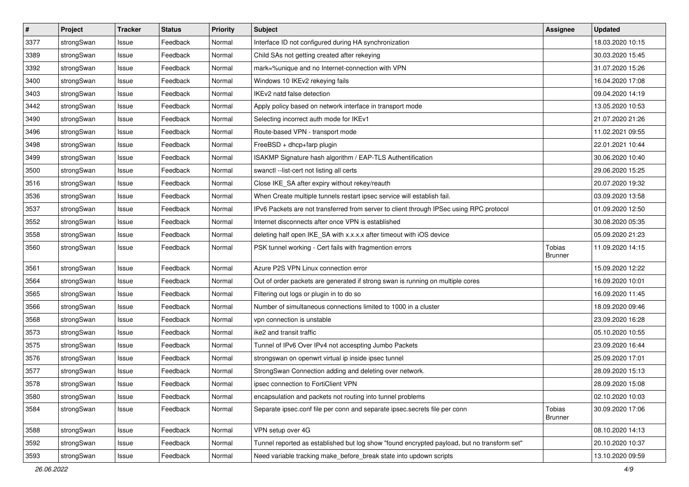| #    | Project    | <b>Tracker</b> | <b>Status</b> | <b>Priority</b> | <b>Subject</b>                                                                              | <b>Assignee</b>          | <b>Updated</b>   |
|------|------------|----------------|---------------|-----------------|---------------------------------------------------------------------------------------------|--------------------------|------------------|
| 3377 | strongSwan | Issue          | Feedback      | Normal          | Interface ID not configured during HA synchronization                                       |                          | 18.03.2020 10:15 |
| 3389 | strongSwan | Issue          | Feedback      | Normal          | Child SAs not getting created after rekeying                                                |                          | 30.03.2020 15:45 |
| 3392 | strongSwan | Issue          | Feedback      | Normal          | mark=%unique and no Internet-connection with VPN                                            |                          | 31.07.2020 15:26 |
| 3400 | strongSwan | Issue          | Feedback      | Normal          | Windows 10 IKEv2 rekeying fails                                                             |                          | 16.04.2020 17:08 |
| 3403 | strongSwan | Issue          | Feedback      | Normal          | IKEv2 natd false detection                                                                  |                          | 09.04.2020 14:19 |
| 3442 | strongSwan | Issue          | Feedback      | Normal          | Apply policy based on network interface in transport mode                                   |                          | 13.05.2020 10:53 |
| 3490 | strongSwan | Issue          | Feedback      | Normal          | Selecting incorrect auth mode for IKEv1                                                     |                          | 21.07.2020 21:26 |
| 3496 | strongSwan | Issue          | Feedback      | Normal          | Route-based VPN - transport mode                                                            |                          | 11.02.2021 09:55 |
| 3498 | strongSwan | Issue          | Feedback      | Normal          | FreeBSD + dhcp+farp plugin                                                                  |                          | 22.01.2021 10:44 |
| 3499 | strongSwan | Issue          | Feedback      | Normal          | ISAKMP Signature hash algorithm / EAP-TLS Authentification                                  |                          | 30.06.2020 10:40 |
| 3500 | strongSwan | Issue          | Feedback      | Normal          | swanctl --list-cert not listing all certs                                                   |                          | 29.06.2020 15:25 |
| 3516 | strongSwan | Issue          | Feedback      | Normal          | Close IKE_SA after expiry without rekey/reauth                                              |                          | 20.07.2020 19:32 |
| 3536 | strongSwan | Issue          | Feedback      | Normal          | When Create multiple tunnels restart ipsec service will establish fail.                     |                          | 03.09.2020 13:58 |
| 3537 | strongSwan | Issue          | Feedback      | Normal          | IPv6 Packets are not transferred from server to client through IPSec using RPC protocol     |                          | 01.09.2020 12:50 |
| 3552 | strongSwan | Issue          | Feedback      | Normal          | Internet disconnects after once VPN is established                                          |                          | 30.08.2020 05:35 |
| 3558 | strongSwan | Issue          | Feedback      | Normal          | deleting half open IKE_SA with x.x.x.x after timeout with iOS device                        |                          | 05.09.2020 21:23 |
| 3560 | strongSwan | Issue          | Feedback      | Normal          | PSK tunnel working - Cert fails with fragmention errors                                     | Tobias<br><b>Brunner</b> | 11.09.2020 14:15 |
| 3561 | strongSwan | Issue          | Feedback      | Normal          | Azure P2S VPN Linux connection error                                                        |                          | 15.09.2020 12:22 |
| 3564 | strongSwan | Issue          | Feedback      | Normal          | Out of order packets are generated if strong swan is running on multiple cores              |                          | 16.09.2020 10:01 |
| 3565 | strongSwan | Issue          | Feedback      | Normal          | Filtering out logs or plugin in to do so                                                    |                          | 16.09.2020 11:45 |
| 3566 | strongSwan | Issue          | Feedback      | Normal          | Number of simultaneous connections limited to 1000 in a cluster                             |                          | 18.09.2020 09:46 |
| 3568 | strongSwan | Issue          | Feedback      | Normal          | vpn connection is unstable                                                                  |                          | 23.09.2020 16:28 |
| 3573 | strongSwan | Issue          | Feedback      | Normal          | ike2 and transit traffic                                                                    |                          | 05.10.2020 10:55 |
| 3575 | strongSwan | Issue          | Feedback      | Normal          | Tunnel of IPv6 Over IPv4 not accespting Jumbo Packets                                       |                          | 23.09.2020 16:44 |
| 3576 | strongSwan | Issue          | Feedback      | Normal          | strongswan on openwrt virtual ip inside ipsec tunnel                                        |                          | 25.09.2020 17:01 |
| 3577 | strongSwan | Issue          | Feedback      | Normal          | StrongSwan Connection adding and deleting over network.                                     |                          | 28.09.2020 15:13 |
| 3578 | strongSwan | Issue          | Feedback      | Normal          | ipsec connection to FortiClient VPN                                                         |                          | 28.09.2020 15:08 |
| 3580 | strongSwan | Issue          | Feedback      | Normal          | encapsulation and packets not routing into tunnel problems                                  |                          | 02.10.2020 10:03 |
| 3584 | strongSwan | Issue          | Feedback      | Normal          | Separate ipsec.conf file per conn and separate ipsec.secrets file per conn                  | Tobias<br><b>Brunner</b> | 30.09.2020 17:06 |
| 3588 | strongSwan | Issue          | Feedback      | Normal          | VPN setup over 4G                                                                           |                          | 08.10.2020 14:13 |
| 3592 | strongSwan | Issue          | Feedback      | Normal          | Tunnel reported as established but log show "found encrypted payload, but no transform set" |                          | 20.10.2020 10:37 |
| 3593 | strongSwan | Issue          | Feedback      | Normal          | Need variable tracking make_before_break state into updown scripts                          |                          | 13.10.2020 09:59 |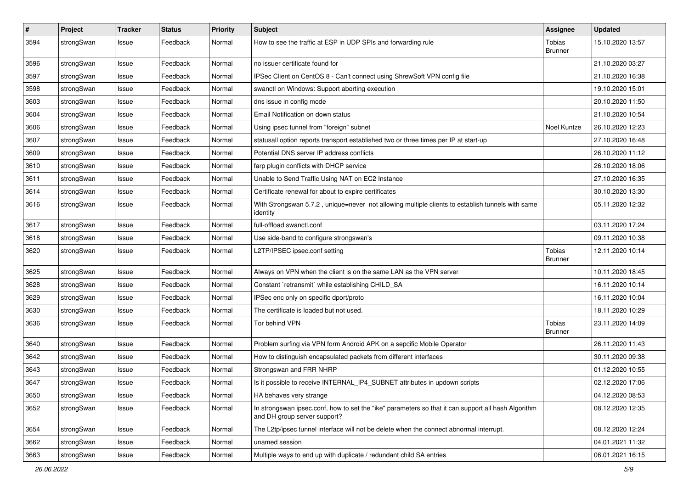| $\sharp$ | Project    | <b>Tracker</b> | <b>Status</b> | <b>Priority</b> | <b>Subject</b>                                                                                                                      | <b>Assignee</b>          | <b>Updated</b>   |
|----------|------------|----------------|---------------|-----------------|-------------------------------------------------------------------------------------------------------------------------------------|--------------------------|------------------|
| 3594     | strongSwan | Issue          | Feedback      | Normal          | How to see the traffic at ESP in UDP SPIs and forwarding rule                                                                       | Tobias<br><b>Brunner</b> | 15.10.2020 13:57 |
| 3596     | strongSwan | Issue          | Feedback      | Normal          | no issuer certificate found for                                                                                                     |                          | 21.10.2020 03:27 |
| 3597     | strongSwan | Issue          | Feedback      | Normal          | IPSec Client on CentOS 8 - Can't connect using ShrewSoft VPN config file                                                            |                          | 21.10.2020 16:38 |
| 3598     | strongSwan | Issue          | Feedback      | Normal          | swanctl on Windows: Support aborting execution                                                                                      |                          | 19.10.2020 15:01 |
| 3603     | strongSwan | Issue          | Feedback      | Normal          | dns issue in config mode                                                                                                            |                          | 20.10.2020 11:50 |
| 3604     | strongSwan | Issue          | Feedback      | Normal          | Email Notification on down status                                                                                                   |                          | 21.10.2020 10:54 |
| 3606     | strongSwan | Issue          | Feedback      | Normal          | Using ipsec tunnel from "foreign" subnet                                                                                            | Noel Kuntze              | 26.10.2020 12:23 |
| 3607     | strongSwan | Issue          | Feedback      | Normal          | statusall option reports transport established two or three times per IP at start-up                                                |                          | 27.10.2020 16:48 |
| 3609     | strongSwan | Issue          | Feedback      | Normal          | Potential DNS server IP address conflicts                                                                                           |                          | 26.10.2020 11:12 |
| 3610     | strongSwan | Issue          | Feedback      | Normal          | farp plugin conflicts with DHCP service                                                                                             |                          | 26.10.2020 18:06 |
| 3611     | strongSwan | Issue          | Feedback      | Normal          | Unable to Send Traffic Using NAT on EC2 Instance                                                                                    |                          | 27.10.2020 16:35 |
| 3614     | strongSwan | Issue          | Feedback      | Normal          | Certificate renewal for about to expire certificates                                                                                |                          | 30.10.2020 13:30 |
| 3616     | strongSwan | Issue          | Feedback      | Normal          | With Strongswan 5.7.2, unique=never not allowing multiple clients to establish tunnels with same<br>identity                        |                          | 05.11.2020 12:32 |
| 3617     | strongSwan | Issue          | Feedback      | Normal          | full-offload swanctl.conf                                                                                                           |                          | 03.11.2020 17:24 |
| 3618     | strongSwan | Issue          | Feedback      | Normal          | Use side-band to configure strongswan's                                                                                             |                          | 09.11.2020 10:38 |
| 3620     | strongSwan | Issue          | Feedback      | Normal          | L2TP/IPSEC ipsec.conf setting                                                                                                       | Tobias<br><b>Brunner</b> | 12.11.2020 10:14 |
| 3625     | strongSwan | Issue          | Feedback      | Normal          | Always on VPN when the client is on the same LAN as the VPN server                                                                  |                          | 10.11.2020 18:45 |
| 3628     | strongSwan | Issue          | Feedback      | Normal          | Constant `retransmit` while establishing CHILD_SA                                                                                   |                          | 16.11.2020 10:14 |
| 3629     | strongSwan | Issue          | Feedback      | Normal          | IPSec enc only on specific dport/proto                                                                                              |                          | 16.11.2020 10:04 |
| 3630     | strongSwan | Issue          | Feedback      | Normal          | The certificate is loaded but not used.                                                                                             |                          | 18.11.2020 10:29 |
| 3636     | strongSwan | Issue          | Feedback      | Normal          | Tor behind VPN                                                                                                                      | Tobias<br><b>Brunner</b> | 23.11.2020 14:09 |
| 3640     | strongSwan | Issue          | Feedback      | Normal          | Problem surfing via VPN form Android APK on a sepcific Mobile Operator                                                              |                          | 26.11.2020 11:43 |
| 3642     | strongSwan | Issue          | Feedback      | Normal          | How to distinguish encapsulated packets from different interfaces                                                                   |                          | 30.11.2020 09:38 |
| 3643     | strongSwan | Issue          | Feedback      | Normal          | Strongswan and FRR NHRP                                                                                                             |                          | 01.12.2020 10:55 |
| 3647     | strongSwan | Issue          | Feedback      | Normal          | Is it possible to receive INTERNAL IP4 SUBNET attributes in updown scripts                                                          |                          | 02.12.2020 17:06 |
| 3650     | strongSwan | Issue          | Feedback      | Normal          | HA behaves very strange                                                                                                             |                          | 04.12.2020 08:53 |
| 3652     | strongSwan | Issue          | Feedback      | Normal          | In strongswan ipsec.conf, how to set the "ike" parameters so that it can support all hash Algorithm<br>and DH group server support? |                          | 08.12.2020 12:35 |
| 3654     | strongSwan | Issue          | Feedback      | Normal          | The L2tp/ipsec tunnel interface will not be delete when the connect abnormal interrupt.                                             |                          | 08.12.2020 12:24 |
| 3662     | strongSwan | Issue          | Feedback      | Normal          | unamed session                                                                                                                      |                          | 04.01.2021 11:32 |
| 3663     | strongSwan | Issue          | Feedback      | Normal          | Multiple ways to end up with duplicate / redundant child SA entries                                                                 |                          | 06.01.2021 16:15 |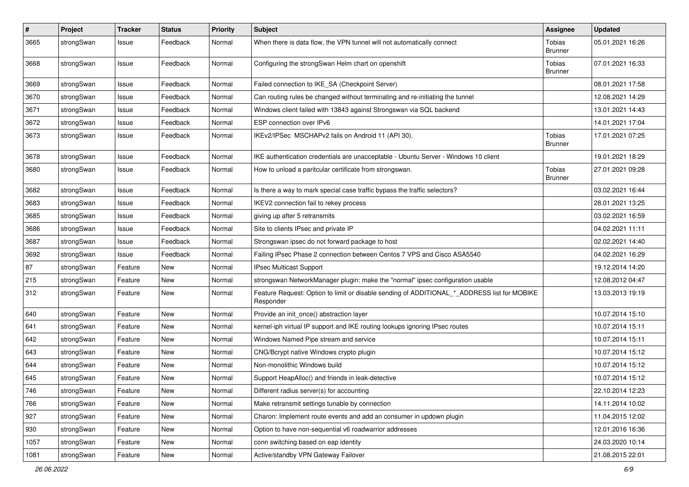| $\pmb{\#}$ | Project    | <b>Tracker</b> | <b>Status</b> | <b>Priority</b> | <b>Subject</b>                                                                                           | Assignee                 | <b>Updated</b>   |
|------------|------------|----------------|---------------|-----------------|----------------------------------------------------------------------------------------------------------|--------------------------|------------------|
| 3665       | strongSwan | Issue          | Feedback      | Normal          | When there is data flow, the VPN tunnel will not automatically connect                                   | Tobias<br><b>Brunner</b> | 05.01.2021 16:26 |
| 3668       | strongSwan | Issue          | Feedback      | Normal          | Configuring the strongSwan Helm chart on openshift                                                       | Tobias<br><b>Brunner</b> | 07.01.2021 16:33 |
| 3669       | strongSwan | Issue          | Feedback      | Normal          | Failed connection to IKE_SA (Checkpoint Server)                                                          |                          | 08.01.2021 17:58 |
| 3670       | strongSwan | Issue          | Feedback      | Normal          | Can routing rules be changed without terminating and re-initiating the tunnel                            |                          | 12.08.2021 14:29 |
| 3671       | strongSwan | Issue          | Feedback      | Normal          | Windows client failed with 13843 against Strongswan via SQL backend                                      |                          | 13.01.2021 14:43 |
| 3672       | strongSwan | Issue          | Feedback      | Normal          | ESP connection over IPv6                                                                                 |                          | 14.01.2021 17:04 |
| 3673       | strongSwan | Issue          | Feedback      | Normal          | IKEv2/IPSec MSCHAPv2 fails on Android 11 (API 30).                                                       | Tobias<br><b>Brunner</b> | 17.01.2021 07:25 |
| 3678       | strongSwan | Issue          | Feedback      | Normal          | IKE authentication credentials are unacceptable - Ubuntu Server - Windows 10 client                      |                          | 19.01.2021 18:29 |
| 3680       | strongSwan | Issue          | Feedback      | Normal          | How to unload a paritcular certificate from strongswan.                                                  | Tobias<br>Brunner        | 27.01.2021 09:28 |
| 3682       | strongSwan | Issue          | Feedback      | Normal          | Is there a way to mark special case traffic bypass the traffic selectors?                                |                          | 03.02.2021 16:44 |
| 3683       | strongSwan | Issue          | Feedback      | Normal          | IKEV2 connection fail to rekey process                                                                   |                          | 28.01.2021 13:25 |
| 3685       | strongSwan | Issue          | Feedback      | Normal          | giving up after 5 retransmits                                                                            |                          | 03.02.2021 16:59 |
| 3686       | strongSwan | Issue          | Feedback      | Normal          | Site to clients IPsec and private IP                                                                     |                          | 04.02.2021 11:11 |
| 3687       | strongSwan | Issue          | Feedback      | Normal          | Strongswan ipsec do not forward package to host                                                          |                          | 02.02.2021 14:40 |
| 3692       | strongSwan | Issue          | Feedback      | Normal          | Failing IPsec Phase 2 connection between Centos 7 VPS and Cisco ASA5540                                  |                          | 04.02.2021 16:29 |
| 87         | strongSwan | Feature        | New           | Normal          | IPsec Multicast Support                                                                                  |                          | 19.12.2014 14:20 |
| 215        | strongSwan | Feature        | New           | Normal          | strongswan NetworkManager plugin: make the "normal" ipsec configuration usable                           |                          | 12.08.2012 04:47 |
| 312        | strongSwan | Feature        | New           | Normal          | Feature Request: Option to limit or disable sending of ADDITIONAL_*_ADDRESS list for MOBIKE<br>Responder |                          | 13.03.2013 19:19 |
| 640        | strongSwan | Feature        | New           | Normal          | Provide an init once() abstraction layer                                                                 |                          | 10.07.2014 15:10 |
| 641        | strongSwan | Feature        | New           | Normal          | kernel-iph virtual IP support and IKE routing lookups ignoring IPsec routes                              |                          | 10.07.2014 15:11 |
| 642        | strongSwan | Feature        | New           | Normal          | Windows Named Pipe stream and service                                                                    |                          | 10.07.2014 15:11 |
| 643        | strongSwan | Feature        | New           | Normal          | CNG/Bcrypt native Windows crypto plugin                                                                  |                          | 10.07.2014 15:12 |
| 644        | strongSwan | Feature        | New           | Normal          | Non-monolithic Windows build                                                                             |                          | 10.07.2014 15:12 |
| 645        | strongSwan | Feature        | New           | Normal          | Support HeapAlloc() and friends in leak-detective                                                        |                          | 10.07.2014 15:12 |
| 746        | strongSwan | Feature        | New           | Normal          | Different radius server(s) for accounting                                                                |                          | 22.10.2014 12:23 |
| 766        | strongSwan | Feature        | <b>New</b>    | Normal          | Make retransmit settings tunable by connection                                                           |                          | 14.11.2014 10:02 |
| 927        | strongSwan | Feature        | New           | Normal          | Charon: Implement route events and add an consumer in updown plugin                                      |                          | 11.04.2015 12:02 |
| 930        | strongSwan | Feature        | New           | Normal          | Option to have non-sequential v6 roadwarrior addresses                                                   |                          | 12.01.2016 16:36 |
| 1057       | strongSwan | Feature        | New           | Normal          | conn switching based on eap identity                                                                     |                          | 24.03.2020 10:14 |
| 1081       | strongSwan | Feature        | New           | Normal          | Active/standby VPN Gateway Failover                                                                      |                          | 21.08.2015 22:01 |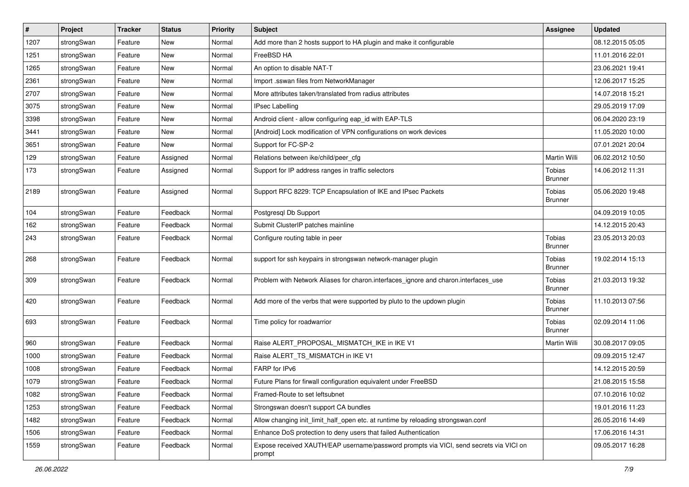| $\sharp$ | Project    | <b>Tracker</b> | <b>Status</b> | <b>Priority</b> | <b>Subject</b>                                                                                   | <b>Assignee</b>          | <b>Updated</b>   |
|----------|------------|----------------|---------------|-----------------|--------------------------------------------------------------------------------------------------|--------------------------|------------------|
| 1207     | strongSwan | Feature        | New           | Normal          | Add more than 2 hosts support to HA plugin and make it configurable                              |                          | 08.12.2015 05:05 |
| 1251     | strongSwan | Feature        | New           | Normal          | FreeBSD HA                                                                                       |                          | 11.01.2016 22:01 |
| 1265     | strongSwan | Feature        | <b>New</b>    | Normal          | An option to disable NAT-T                                                                       |                          | 23.06.2021 19:41 |
| 2361     | strongSwan | Feature        | <b>New</b>    | Normal          | Import .sswan files from NetworkManager                                                          |                          | 12.06.2017 15:25 |
| 2707     | strongSwan | Feature        | <b>New</b>    | Normal          | More attributes taken/translated from radius attributes                                          |                          | 14.07.2018 15:21 |
| 3075     | strongSwan | Feature        | New           | Normal          | <b>IPsec Labelling</b>                                                                           |                          | 29.05.2019 17:09 |
| 3398     | strongSwan | Feature        | New           | Normal          | Android client - allow configuring eap_id with EAP-TLS                                           |                          | 06.04.2020 23:19 |
| 3441     | strongSwan | Feature        | <b>New</b>    | Normal          | [Android] Lock modification of VPN configurations on work devices                                |                          | 11.05.2020 10:00 |
| 3651     | strongSwan | Feature        | New           | Normal          | Support for FC-SP-2                                                                              |                          | 07.01.2021 20:04 |
| 129      | strongSwan | Feature        | Assigned      | Normal          | Relations between ike/child/peer_cfg                                                             | Martin Willi             | 06.02.2012 10:50 |
| 173      | strongSwan | Feature        | Assigned      | Normal          | Support for IP address ranges in traffic selectors                                               | Tobias<br><b>Brunner</b> | 14.06.2012 11:31 |
| 2189     | strongSwan | Feature        | Assigned      | Normal          | Support RFC 8229: TCP Encapsulation of IKE and IPsec Packets                                     | Tobias<br><b>Brunner</b> | 05.06.2020 19:48 |
| 104      | strongSwan | Feature        | Feedback      | Normal          | Postgresql Db Support                                                                            |                          | 04.09.2019 10:05 |
| 162      | strongSwan | Feature        | Feedback      | Normal          | Submit ClusterIP patches mainline                                                                |                          | 14.12.2015 20:43 |
| 243      | strongSwan | Feature        | Feedback      | Normal          | Configure routing table in peer                                                                  | Tobias<br><b>Brunner</b> | 23.05.2013 20:03 |
| 268      | strongSwan | Feature        | Feedback      | Normal          | support for ssh keypairs in strongswan network-manager plugin                                    | Tobias<br><b>Brunner</b> | 19.02.2014 15:13 |
| 309      | strongSwan | Feature        | Feedback      | Normal          | Problem with Network Aliases for charon.interfaces_ignore and charon.interfaces_use              | Tobias<br><b>Brunner</b> | 21.03.2013 19:32 |
| 420      | strongSwan | Feature        | Feedback      | Normal          | Add more of the verbs that were supported by pluto to the updown plugin                          | Tobias<br><b>Brunner</b> | 11.10.2013 07:56 |
| 693      | strongSwan | Feature        | Feedback      | Normal          | Time policy for roadwarrior                                                                      | Tobias<br><b>Brunner</b> | 02.09.2014 11:06 |
| 960      | strongSwan | Feature        | Feedback      | Normal          | Raise ALERT_PROPOSAL_MISMATCH_IKE in IKE V1                                                      | <b>Martin Willi</b>      | 30.08.2017 09:05 |
| 1000     | strongSwan | Feature        | Feedback      | Normal          | Raise ALERT_TS_MISMATCH in IKE V1                                                                |                          | 09.09.2015 12:47 |
| 1008     | strongSwan | Feature        | Feedback      | Normal          | FARP for IPv6                                                                                    |                          | 14.12.2015 20:59 |
| 1079     | strongSwan | Feature        | Feedback      | Normal          | Future Plans for firwall configuration equivalent under FreeBSD                                  |                          | 21.08.2015 15:58 |
| 1082     | strongSwan | Feature        | Feedback      | Normal          | Framed-Route to set leftsubnet                                                                   |                          | 07.10.2016 10:02 |
| 1253     | strongSwan | Feature        | Feedback      | Normal          | Strongswan doesn't support CA bundles                                                            |                          | 19.01.2016 11:23 |
| 1482     | strongSwan | Feature        | Feedback      | Normal          | Allow changing init_limit_half_open etc. at runtime by reloading strongswan.conf                 |                          | 26.05.2016 14:49 |
| 1506     | strongSwan | Feature        | Feedback      | Normal          | Enhance DoS protection to deny users that failed Authentication                                  |                          | 17.06.2016 14:31 |
| 1559     | strongSwan | Feature        | Feedback      | Normal          | Expose received XAUTH/EAP username/password prompts via VICI, send secrets via VICI on<br>prompt |                          | 09.05.2017 16:28 |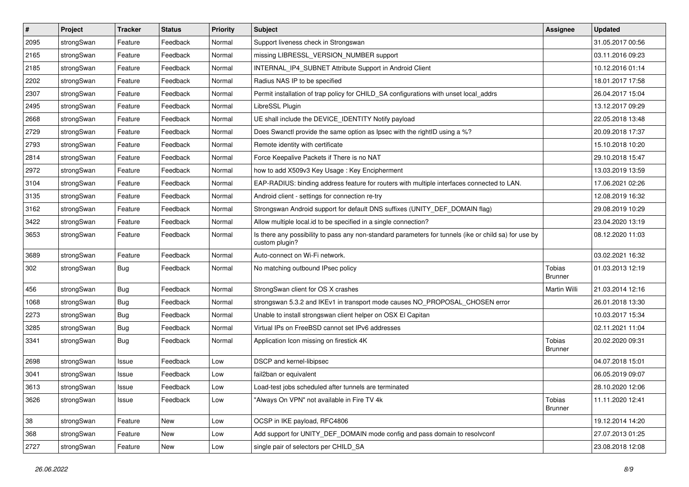| $\vert$ # | Project    | <b>Tracker</b> | <b>Status</b> | <b>Priority</b> | <b>Subject</b>                                                                                                          | <b>Assignee</b>          | <b>Updated</b>   |
|-----------|------------|----------------|---------------|-----------------|-------------------------------------------------------------------------------------------------------------------------|--------------------------|------------------|
| 2095      | strongSwan | Feature        | Feedback      | Normal          | Support liveness check in Strongswan                                                                                    |                          | 31.05.2017 00:56 |
| 2165      | strongSwan | Feature        | Feedback      | Normal          | missing LIBRESSL_VERSION_NUMBER support                                                                                 |                          | 03.11.2016 09:23 |
| 2185      | strongSwan | Feature        | Feedback      | Normal          | INTERNAL_IP4_SUBNET Attribute Support in Android Client                                                                 |                          | 10.12.2016 01:14 |
| 2202      | strongSwan | Feature        | Feedback      | Normal          | Radius NAS IP to be specified                                                                                           |                          | 18.01.2017 17:58 |
| 2307      | strongSwan | Feature        | Feedback      | Normal          | Permit installation of trap policy for CHILD_SA configurations with unset local_addrs                                   |                          | 26.04.2017 15:04 |
| 2495      | strongSwan | Feature        | Feedback      | Normal          | LibreSSL Plugin                                                                                                         |                          | 13.12.2017 09:29 |
| 2668      | strongSwan | Feature        | Feedback      | Normal          | UE shall include the DEVICE IDENTITY Notify payload                                                                     |                          | 22.05.2018 13:48 |
| 2729      | strongSwan | Feature        | Feedback      | Normal          | Does Swanctl provide the same option as Ipsec with the rightID using a %?                                               |                          | 20.09.2018 17:37 |
| 2793      | strongSwan | Feature        | Feedback      | Normal          | Remote identity with certificate                                                                                        |                          | 15.10.2018 10:20 |
| 2814      | strongSwan | Feature        | Feedback      | Normal          | Force Keepalive Packets if There is no NAT                                                                              |                          | 29.10.2018 15:47 |
| 2972      | strongSwan | Feature        | Feedback      | Normal          | how to add X509v3 Key Usage: Key Encipherment                                                                           |                          | 13.03.2019 13:59 |
| 3104      | strongSwan | Feature        | Feedback      | Normal          | EAP-RADIUS: binding address feature for routers with multiple interfaces connected to LAN.                              |                          | 17.06.2021 02:26 |
| 3135      | strongSwan | Feature        | Feedback      | Normal          | Android client - settings for connection re-try                                                                         |                          | 12.08.2019 16:32 |
| 3162      | strongSwan | Feature        | Feedback      | Normal          | Strongswan Android support for default DNS suffixes (UNITY_DEF_DOMAIN flag)                                             |                          | 29.08.2019 10:29 |
| 3422      | strongSwan | Feature        | Feedback      | Normal          | Allow multiple local.id to be specified in a single connection?                                                         |                          | 23.04.2020 13:19 |
| 3653      | strongSwan | Feature        | Feedback      | Normal          | Is there any possibility to pass any non-standard parameters for tunnels (ike or child sa) for use by<br>custom plugin? |                          | 08.12.2020 11:03 |
| 3689      | strongSwan | Feature        | Feedback      | Normal          | Auto-connect on Wi-Fi network.                                                                                          |                          | 03.02.2021 16:32 |
| 302       | strongSwan | Bug            | Feedback      | Normal          | No matching outbound IPsec policy                                                                                       | Tobias<br><b>Brunner</b> | 01.03.2013 12:19 |
| 456       | strongSwan | Bug            | Feedback      | Normal          | StrongSwan client for OS X crashes                                                                                      | Martin Willi             | 21.03.2014 12:16 |
| 1068      | strongSwan | <b>Bug</b>     | Feedback      | Normal          | strongswan 5.3.2 and IKEv1 in transport mode causes NO_PROPOSAL_CHOSEN error                                            |                          | 26.01.2018 13:30 |
| 2273      | strongSwan | <b>Bug</b>     | Feedback      | Normal          | Unable to install strongswan client helper on OSX El Capitan                                                            |                          | 10.03.2017 15:34 |
| 3285      | strongSwan | <b>Bug</b>     | Feedback      | Normal          | Virtual IPs on FreeBSD cannot set IPv6 addresses                                                                        |                          | 02.11.2021 11:04 |
| 3341      | strongSwan | <b>Bug</b>     | Feedback      | Normal          | Application Icon missing on firestick 4K                                                                                | Tobias<br>Brunner        | 20.02.2020 09:31 |
| 2698      | strongSwan | Issue          | Feedback      | Low             | DSCP and kernel-libipsec                                                                                                |                          | 04.07.2018 15:01 |
| 3041      | strongSwan | Issue          | Feedback      | Low             | fail2ban or equivalent                                                                                                  |                          | 06.05.2019 09:07 |
| 3613      | strongSwan | Issue          | Feedback      | Low             | Load-test jobs scheduled after tunnels are terminated                                                                   |                          | 28.10.2020 12:06 |
| 3626      | strongSwan | Issue          | Feedback      | Low             | "Always On VPN" not available in Fire TV 4k                                                                             | Tobias<br><b>Brunner</b> | 11.11.2020 12:41 |
| 38        | strongSwan | Feature        | New           | Low             | OCSP in IKE payload, RFC4806                                                                                            |                          | 19.12.2014 14:20 |
| 368       | strongSwan | Feature        | New           | Low             | Add support for UNITY DEF DOMAIN mode config and pass domain to resolvconf                                              |                          | 27.07.2013 01:25 |
| 2727      | strongSwan | Feature        | New           | Low             | single pair of selectors per CHILD_SA                                                                                   |                          | 23.08.2018 12:08 |